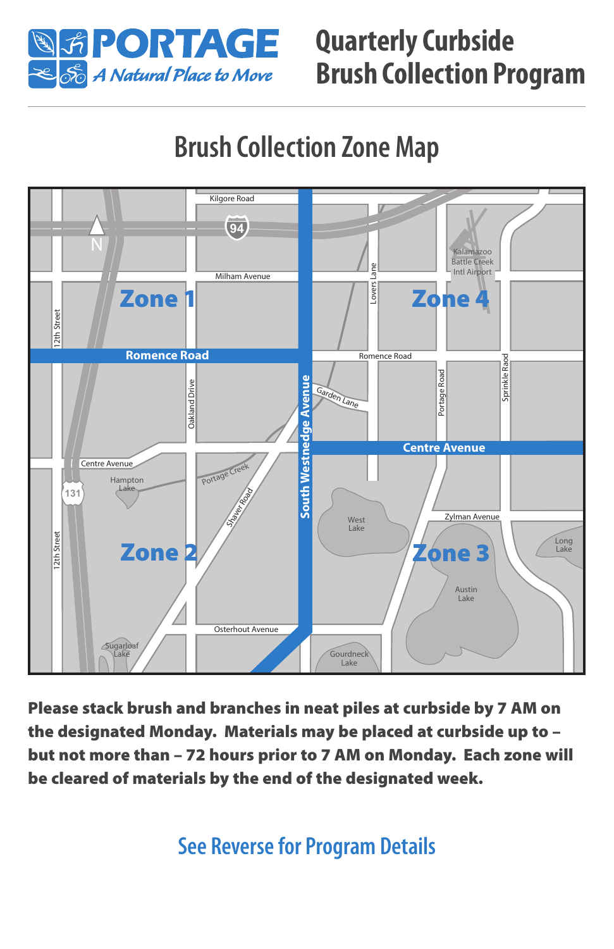

### **Quarterly Curbside Brush Collection Program**

## **Brush Collection Zone Map**



Please stack brush and branches in neat piles at curbside by 7 AM on the designated Monday. Materials may be placed at curbside up to – but not more than – 72 hours prior to 7 AM on Monday. Each zone will be cleared of materials by the end of the designated week.

**See Reverse for Program Details**